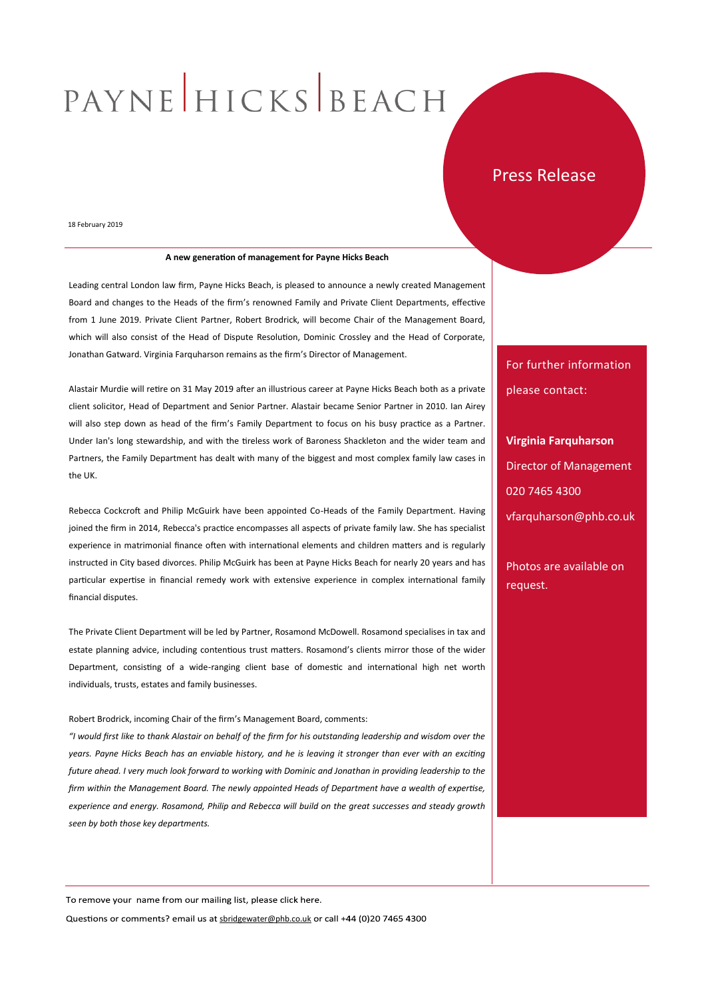## PAYNE HICKS BEACH

### Press Release

18 February 2019

#### **A new generation of management for Payne Hicks Beach**

Leading central London law firm, Payne Hicks Beach, is pleased to announce a newly created Management Board and changes to the Heads of the firm's renowned Family and Private Client Departments, effective from 1 June 2019. Private Client Partner, Robert Brodrick, will become Chair of the Management Board, which will also consist of the Head of Dispute Resolution, Dominic Crossley and the Head of Corporate, Jonathan Gatward. Virginia Farquharson remains as the firm's Director of Management.

Alastair Murdie will retire on 31 May 2019 after an illustrious career at Payne Hicks Beach both as a private client solicitor, Head of Department and Senior Partner. Alastair became Senior Partner in 2010. Ian Airey will also step down as head of the firm's Family Department to focus on his busy practice as a Partner. Under Ian's long stewardship, and with the tireless work of Baroness Shackleton and the wider team and Partners, the Family Department has dealt with many of the biggest and most complex family law cases in the UK.

Rebecca Cockcroft and Philip McGuirk have been appointed Co-Heads of the Family Department. Having joined the firm in 2014, Rebecca's practice encompasses all aspects of private family law. She has specialist experience in matrimonial finance often with international elements and children matters and is regularly instructed in City based divorces. Philip McGuirk has been at Payne Hicks Beach for nearly 20 years and has particular expertise in financial remedy work with extensive experience in complex international family financial disputes.

The Private Client Department will be led by Partner, Rosamond McDowell. Rosamond specialises in tax and estate planning advice, including contentious trust matters. Rosamond's clients mirror those of the wider Department, consisting of a wide-ranging client base of domestic and international high net worth individuals, trusts, estates and family businesses.

### Robert Brodrick, incoming Chair of the firm's Management Board, comments:

*"I would first like to thank Alastair on behalf of the firm for his outstanding leadership and wisdom over the years. Payne Hicks Beach has an enviable history, and he is leaving it stronger than ever with an exciting future ahead. I very much look forward to working with Dominic and Jonathan in providing leadership to the firm within the Management Board. The newly appointed Heads of Department have a wealth of expertise, experience and energy. Rosamond, Philip and Rebecca will build on the great successes and steady growth seen by both those key departments.* 

For further information please contact:

**Virginia Farquharson** Director of Management 020 7465 4300 vfarquharson@phb.co.uk

Photos are available on request.

To remove your name from our mailing list, please click here.

Questions or comments? email us at [sbridgewater@phb.co.uk](mailto:sbridgewater@phb.co.uk) or call +44 (0)20 7465 4300